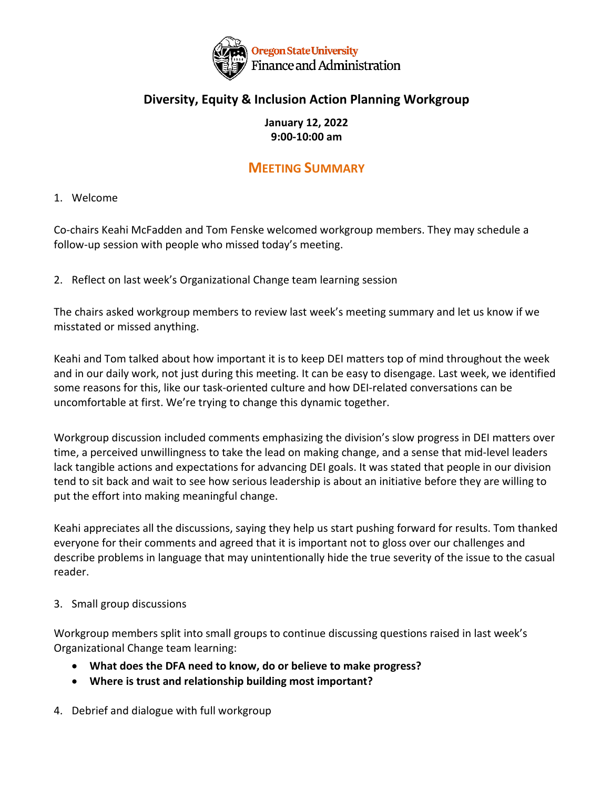

# **Diversity, Equity & Inclusion Action Planning Workgroup**

## **January 12, 2022 9:00-10:00 am**

# **MEETING SUMMARY**

## 1. Welcome

Co-chairs Keahi McFadden and Tom Fenske welcomed workgroup members. They may schedule a follow-up session with people who missed today's meeting.

2. Reflect on last week's Organizational Change team learning session

The chairs asked workgroup members to review last week's meeting summary and let us know if we misstated or missed anything.

Keahi and Tom talked about how important it is to keep DEI matters top of mind throughout the week and in our daily work, not just during this meeting. It can be easy to disengage. Last week, we identified some reasons for this, like our task-oriented culture and how DEI-related conversations can be uncomfortable at first. We're trying to change this dynamic together.

Workgroup discussion included comments emphasizing the division's slow progress in DEI matters over time, a perceived unwillingness to take the lead on making change, and a sense that mid-level leaders lack tangible actions and expectations for advancing DEI goals. It was stated that people in our division tend to sit back and wait to see how serious leadership is about an initiative before they are willing to put the effort into making meaningful change.

Keahi appreciates all the discussions, saying they help us start pushing forward for results. Tom thanked everyone for their comments and agreed that it is important not to gloss over our challenges and describe problems in language that may unintentionally hide the true severity of the issue to the casual reader.

#### 3. Small group discussions

Workgroup members split into small groups to continue discussing questions raised in last week's Organizational Change team learning:

- **What does the DFA need to know, do or believe to make progress?**
- **Where is trust and relationship building most important?**
- 4. Debrief and dialogue with full workgroup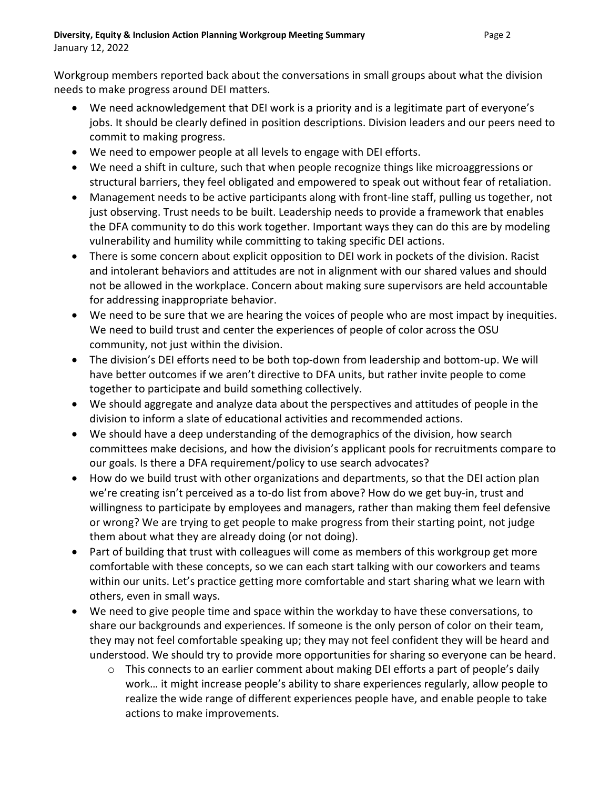Workgroup members reported back about the conversations in small groups about what the division needs to make progress around DEI matters.

- We need acknowledgement that DEI work is a priority and is a legitimate part of everyone's jobs. It should be clearly defined in position descriptions. Division leaders and our peers need to commit to making progress.
- We need to empower people at all levels to engage with DEI efforts.
- We need a shift in culture, such that when people recognize things like microaggressions or structural barriers, they feel obligated and empowered to speak out without fear of retaliation.
- Management needs to be active participants along with front-line staff, pulling us together, not just observing. Trust needs to be built. Leadership needs to provide a framework that enables the DFA community to do this work together. Important ways they can do this are by modeling vulnerability and humility while committing to taking specific DEI actions.
- There is some concern about explicit opposition to DEI work in pockets of the division. Racist and intolerant behaviors and attitudes are not in alignment with our shared values and should not be allowed in the workplace. Concern about making sure supervisors are held accountable for addressing inappropriate behavior.
- We need to be sure that we are hearing the voices of people who are most impact by inequities. We need to build trust and center the experiences of people of color across the OSU community, not just within the division.
- The division's DEI efforts need to be both top-down from leadership and bottom-up. We will have better outcomes if we aren't directive to DFA units, but rather invite people to come together to participate and build something collectively.
- We should aggregate and analyze data about the perspectives and attitudes of people in the division to inform a slate of educational activities and recommended actions.
- We should have a deep understanding of the demographics of the division, how search committees make decisions, and how the division's applicant pools for recruitments compare to our goals. Is there a DFA requirement/policy to use search advocates?
- How do we build trust with other organizations and departments, so that the DEI action plan we're creating isn't perceived as a to-do list from above? How do we get buy-in, trust and willingness to participate by employees and managers, rather than making them feel defensive or wrong? We are trying to get people to make progress from their starting point, not judge them about what they are already doing (or not doing).
- Part of building that trust with colleagues will come as members of this workgroup get more comfortable with these concepts, so we can each start talking with our coworkers and teams within our units. Let's practice getting more comfortable and start sharing what we learn with others, even in small ways.
- We need to give people time and space within the workday to have these conversations, to share our backgrounds and experiences. If someone is the only person of color on their team, they may not feel comfortable speaking up; they may not feel confident they will be heard and understood. We should try to provide more opportunities for sharing so everyone can be heard.
	- o This connects to an earlier comment about making DEI efforts a part of people's daily work… it might increase people's ability to share experiences regularly, allow people to realize the wide range of different experiences people have, and enable people to take actions to make improvements.